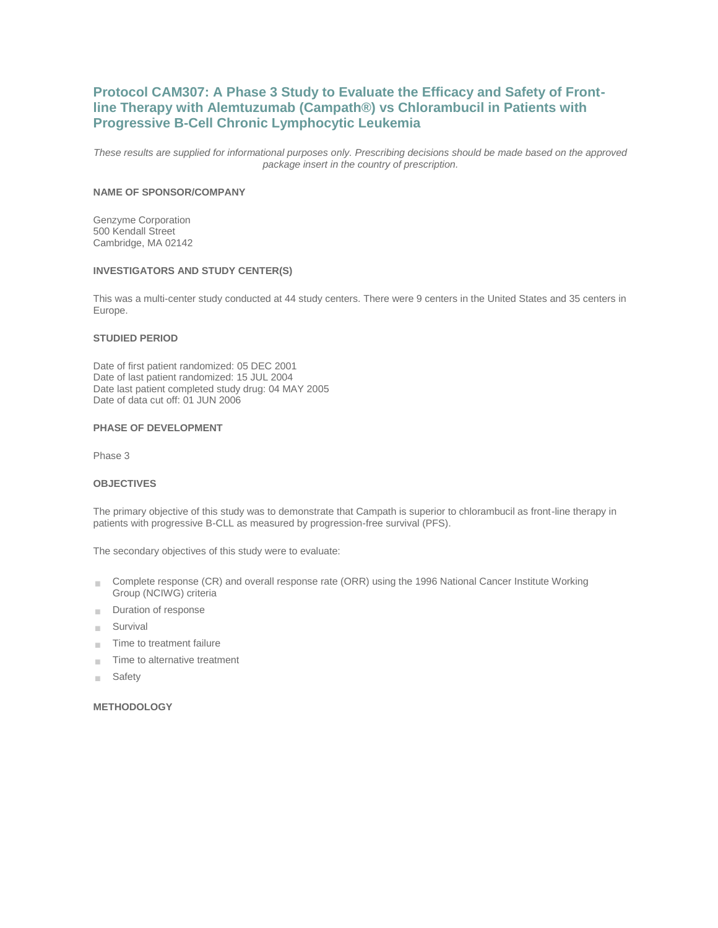# **Protocol CAM307: A Phase 3 Study to Evaluate the Efficacy and Safety of Frontline Therapy with Alemtuzumab (Campath®) vs Chlorambucil in Patients with Progressive B-Cell Chronic Lymphocytic Leukemia**

*These results are supplied for informational purposes only. Prescribing decisions should be made based on the approved package insert in the country of prescription.*

# **NAME OF SPONSOR/COMPANY**

Genzyme Corporation 500 Kendall Street Cambridge, MA 02142

### **INVESTIGATORS AND STUDY CENTER(S)**

This was a multi-center study conducted at 44 study centers. There were 9 centers in the United States and 35 centers in Europe.

### **STUDIED PERIOD**

Date of first patient randomized: 05 DEC 2001 Date of last patient randomized: 15 JUL 2004 Date last patient completed study drug: 04 MAY 2005 Date of data cut off: 01 JUN 2006

### **PHASE OF DEVELOPMENT**

Phase 3

# **OBJECTIVES**

The primary objective of this study was to demonstrate that Campath is superior to chlorambucil as front-line therapy in patients with progressive B-CLL as measured by progression-free survival (PFS).

The secondary objectives of this study were to evaluate:

- Complete response (CR) and overall response rate (ORR) using the 1996 National Cancer Institute Working m. Group (NCIWG) criteria
- Duration of response
- Survival m.
- Time to treatment failure  $\sim$
- Time to alternative treatment m.
- Safety  $\mathcal{H}^{\pm}$

# **METHODOLOGY**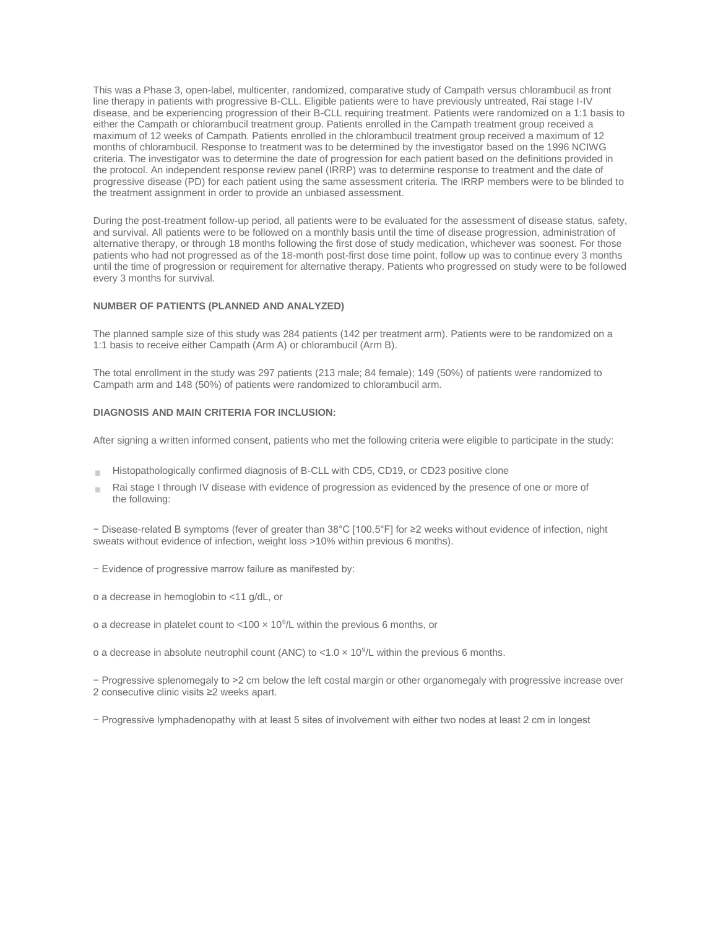This was a Phase 3, open-label, multicenter, randomized, comparative study of Campath versus chlorambucil as front line therapy in patients with progressive B-CLL. Eligible patients were to have previously untreated, Rai stage I-IV disease, and be experiencing progression of their B-CLL requiring treatment. Patients were randomized on a 1:1 basis to either the Campath or chlorambucil treatment group. Patients enrolled in the Campath treatment group received a maximum of 12 weeks of Campath. Patients enrolled in the chlorambucil treatment group received a maximum of 12 months of chlorambucil. Response to treatment was to be determined by the investigator based on the 1996 NCIWG criteria. The investigator was to determine the date of progression for each patient based on the definitions provided in the protocol. An independent response review panel (IRRP) was to determine response to treatment and the date of progressive disease (PD) for each patient using the same assessment criteria. The IRRP members were to be blinded to the treatment assignment in order to provide an unbiased assessment.

During the post-treatment follow-up period, all patients were to be evaluated for the assessment of disease status, safety, and survival. All patients were to be followed on a monthly basis until the time of disease progression, administration of alternative therapy, or through 18 months following the first dose of study medication, whichever was soonest. For those patients who had not progressed as of the 18-month post-first dose time point, follow up was to continue every 3 months until the time of progression or requirement for alternative therapy. Patients who progressed on study were to be followed every 3 months for survival.

### **NUMBER OF PATIENTS (PLANNED AND ANALYZED)**

The planned sample size of this study was 284 patients (142 per treatment arm). Patients were to be randomized on a 1:1 basis to receive either Campath (Arm A) or chlorambucil (Arm B).

The total enrollment in the study was 297 patients (213 male; 84 female); 149 (50%) of patients were randomized to Campath arm and 148 (50%) of patients were randomized to chlorambucil arm.

# **DIAGNOSIS AND MAIN CRITERIA FOR INCLUSION:**

After signing a written informed consent, patients who met the following criteria were eligible to participate in the study:

- Histopathologically confirmed diagnosis of B-CLL with CD5, CD19, or CD23 positive clone  $\sim$
- Rai stage I through IV disease with evidence of progression as evidenced by the presence of one or more of the following:

− Disease-related B symptoms (fever of greater than 38°C [100.5°F] for ≥2 weeks without evidence of infection, night sweats without evidence of infection, weight loss >10% within previous 6 months).

− Evidence of progressive marrow failure as manifested by:

o a decrease in hemoglobin to <11 g/dL, or

o a decrease in platelet count to <100  $\times$  10<sup>9</sup>/L within the previous 6 months, or

o a decrease in absolute neutrophil count (ANC) to <1.0  $\times$  10<sup>9</sup>/L within the previous 6 months.

− Progressive splenomegaly to >2 cm below the left costal margin or other organomegaly with progressive increase over 2 consecutive clinic visits ≥2 weeks apart.

− Progressive lymphadenopathy with at least 5 sites of involvement with either two nodes at least 2 cm in longest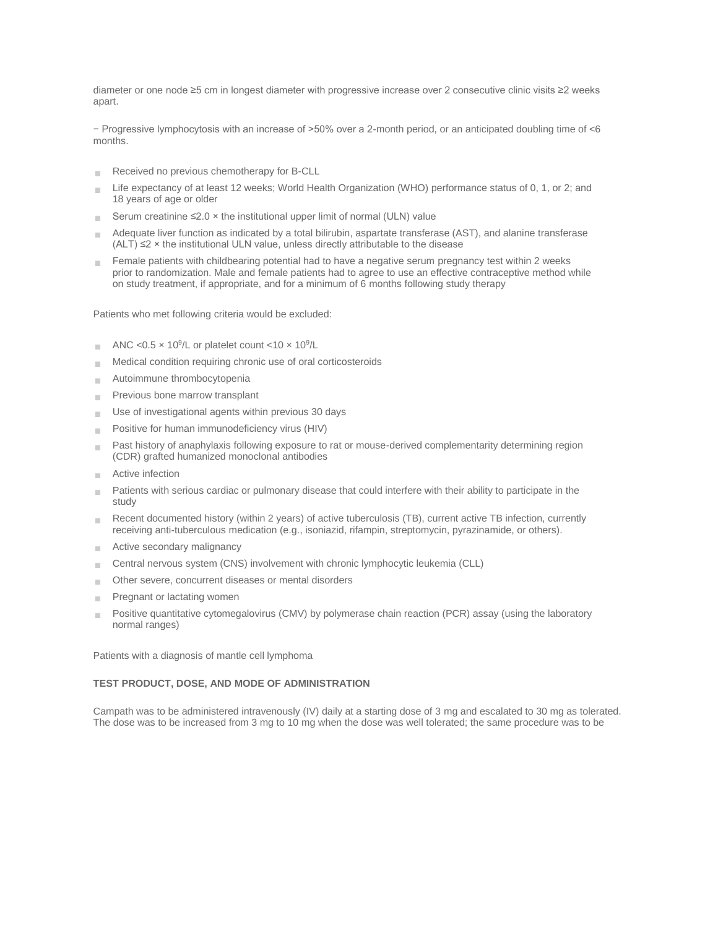diameter or one node ≥5 cm in longest diameter with progressive increase over 2 consecutive clinic visits ≥2 weeks apart.

− Progressive lymphocytosis with an increase of >50% over a 2-month period, or an anticipated doubling time of <6 months.

- Received no previous chemotherapy for B-CLL m.
- Life expectancy of at least 12 weeks; World Health Organization (WHO) performance status of 0, 1, or 2; and  $\mathbf{u}$ 18 years of age or older
- Serum creatinine  $\leq 2.0 \times$  the institutional upper limit of normal (ULN) value  $\sim$
- Adequate liver function as indicated by a total bilirubin, aspartate transferase (AST), and alanine transferase  $(ALT) \leq 2 \times$  the institutional ULN value, unless directly attributable to the disease
- Female patients with childbearing potential had to have a negative serum pregnancy test within 2 weeks prior to randomization. Male and female patients had to agree to use an effective contraceptive method while on study treatment, if appropriate, and for a minimum of 6 months following study therapy

Patients who met following criteria would be excluded:

- ANC < $0.5 \times 10^9$ /L or platelet count < $10 \times 10^9$ /L
- Medical condition requiring chronic use of oral corticosteroids  $\mathbb{R}^n$
- Autoimmune thrombocytopenia  $\mathcal{C}^{\mathcal{C}}$
- Previous bone marrow transplant  $\mathcal{C}^{\mathcal{C}}$
- Use of investigational agents within previous 30 days  $\mathcal{C}^{\mathcal{C}}$
- Positive for human immunodeficiency virus (HIV)
- Past history of anaphylaxis following exposure to rat or mouse-derived complementarity determining region  $\mathbb{R}^n$ (CDR) grafted humanized monoclonal antibodies
- Active infection  $\sim$
- Patients with serious cardiac or pulmonary disease that could interfere with their ability to participate in the × study
- Recent documented history (within 2 years) of active tuberculosis (TB), current active TB infection, currently  $\mathcal{C}^{\mathcal{C}}$ receiving anti-tuberculous medication (e.g., isoniazid, rifampin, streptomycin, pyrazinamide, or others).
- Active secondary malignancy  $\sim$
- Central nervous system (CNS) involvement with chronic lymphocytic leukemia (CLL)  $\sim$
- Other severe, concurrent diseases or mental disorders ×
- Pregnant or lactating women  $\mathbf{u}$
- Positive quantitative cytomegalovirus (CMV) by polymerase chain reaction (PCR) assay (using the laboratory n, normal ranges)

Patients with a diagnosis of mantle cell lymphoma

### **TEST PRODUCT, DOSE, AND MODE OF ADMINISTRATION**

Campath was to be administered intravenously (IV) daily at a starting dose of 3 mg and escalated to 30 mg as tolerated. The dose was to be increased from 3 mg to 10 mg when the dose was well tolerated; the same procedure was to be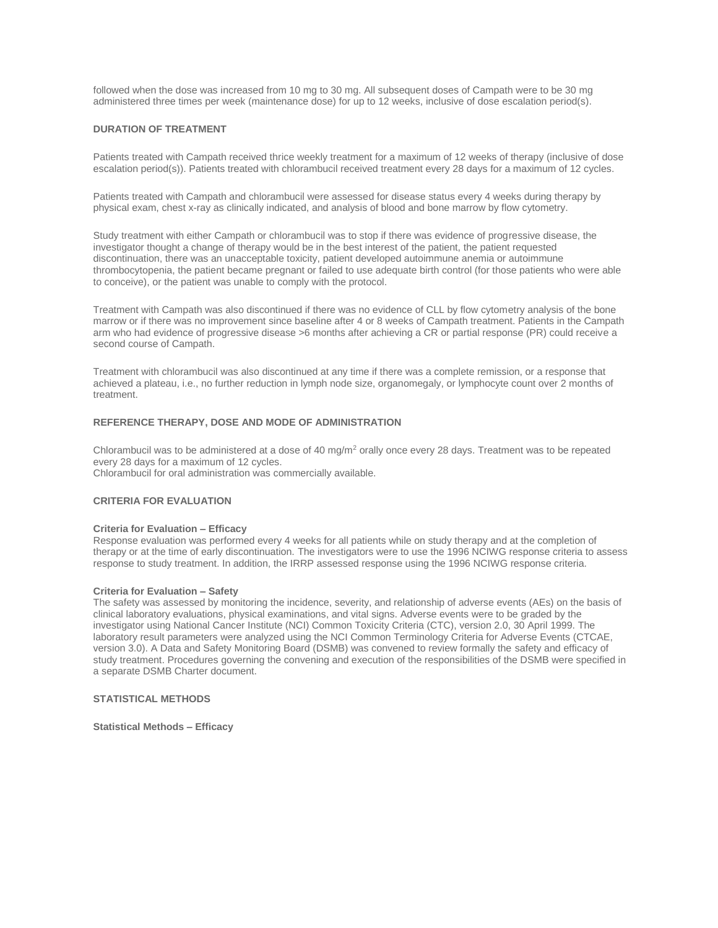followed when the dose was increased from 10 mg to 30 mg. All subsequent doses of Campath were to be 30 mg administered three times per week (maintenance dose) for up to 12 weeks, inclusive of dose escalation period(s).

### **DURATION OF TREATMENT**

Patients treated with Campath received thrice weekly treatment for a maximum of 12 weeks of therapy (inclusive of dose escalation period(s)). Patients treated with chlorambucil received treatment every 28 days for a maximum of 12 cycles.

Patients treated with Campath and chlorambucil were assessed for disease status every 4 weeks during therapy by physical exam, chest x-ray as clinically indicated, and analysis of blood and bone marrow by flow cytometry.

Study treatment with either Campath or chlorambucil was to stop if there was evidence of progressive disease, the investigator thought a change of therapy would be in the best interest of the patient, the patient requested discontinuation, there was an unacceptable toxicity, patient developed autoimmune anemia or autoimmune thrombocytopenia, the patient became pregnant or failed to use adequate birth control (for those patients who were able to conceive), or the patient was unable to comply with the protocol.

Treatment with Campath was also discontinued if there was no evidence of CLL by flow cytometry analysis of the bone marrow or if there was no improvement since baseline after 4 or 8 weeks of Campath treatment. Patients in the Campath arm who had evidence of progressive disease >6 months after achieving a CR or partial response (PR) could receive a second course of Campath.

Treatment with chlorambucil was also discontinued at any time if there was a complete remission, or a response that achieved a plateau, i.e., no further reduction in lymph node size, organomegaly, or lymphocyte count over 2 months of treatment.

### **REFERENCE THERAPY, DOSE AND MODE OF ADMINISTRATION**

Chlorambucil was to be administered at a dose of 40 mg/m<sup>2</sup> orally once every 28 days. Treatment was to be repeated every 28 days for a maximum of 12 cycles. Chlorambucil for oral administration was commercially available.

### **CRITERIA FOR EVALUATION**

### **Criteria for Evaluation – Efficacy**

Response evaluation was performed every 4 weeks for all patients while on study therapy and at the completion of therapy or at the time of early discontinuation. The investigators were to use the 1996 NCIWG response criteria to assess response to study treatment. In addition, the IRRP assessed response using the 1996 NCIWG response criteria.

#### **Criteria for Evaluation – Safety**

The safety was assessed by monitoring the incidence, severity, and relationship of adverse events (AEs) on the basis of clinical laboratory evaluations, physical examinations, and vital signs. Adverse events were to be graded by the investigator using National Cancer Institute (NCI) Common Toxicity Criteria (CTC), version 2.0, 30 April 1999. The laboratory result parameters were analyzed using the NCI Common Terminology Criteria for Adverse Events (CTCAE, version 3.0). A Data and Safety Monitoring Board (DSMB) was convened to review formally the safety and efficacy of study treatment. Procedures governing the convening and execution of the responsibilities of the DSMB were specified in a separate DSMB Charter document.

### **STATISTICAL METHODS**

**Statistical Methods – Efficacy**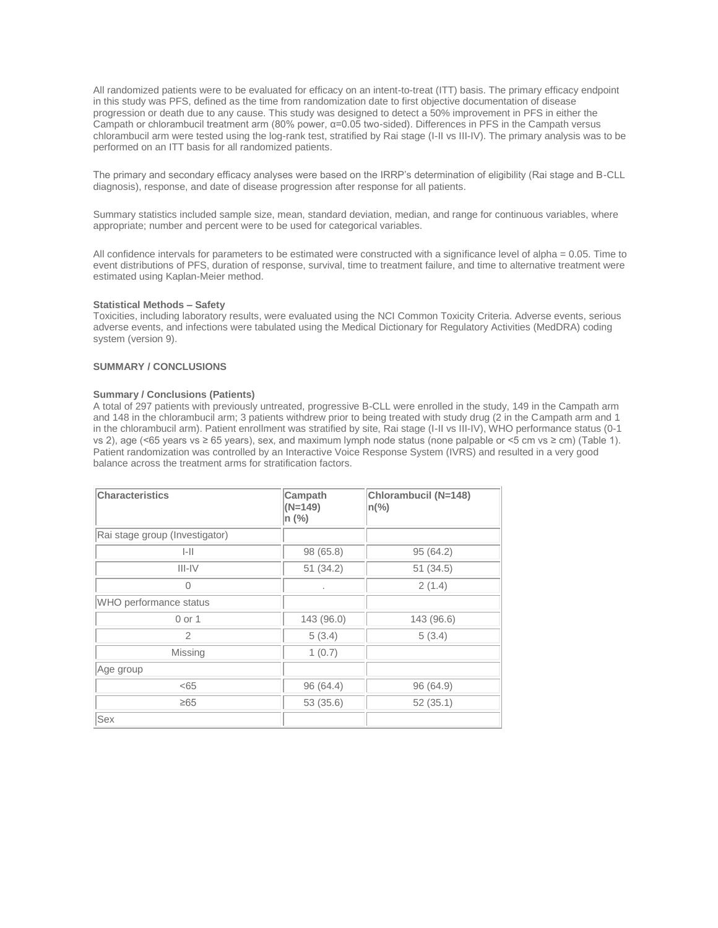All randomized patients were to be evaluated for efficacy on an intent-to-treat (ITT) basis. The primary efficacy endpoint in this study was PFS, defined as the time from randomization date to first objective documentation of disease progression or death due to any cause. This study was designed to detect a 50% improvement in PFS in either the Campath or chlorambucil treatment arm (80% power, α=0.05 two-sided). Differences in PFS in the Campath versus chlorambucil arm were tested using the log-rank test, stratified by Rai stage (I-II vs III-IV). The primary analysis was to be performed on an ITT basis for all randomized patients.

The primary and secondary efficacy analyses were based on the IRRP's determination of eligibility (Rai stage and B-CLL diagnosis), response, and date of disease progression after response for all patients.

Summary statistics included sample size, mean, standard deviation, median, and range for continuous variables, where appropriate; number and percent were to be used for categorical variables.

All confidence intervals for parameters to be estimated were constructed with a significance level of alpha = 0.05. Time to event distributions of PFS, duration of response, survival, time to treatment failure, and time to alternative treatment were estimated using Kaplan-Meier method.

### **Statistical Methods – Safety**

Toxicities, including laboratory results, were evaluated using the NCI Common Toxicity Criteria. Adverse events, serious adverse events, and infections were tabulated using the Medical Dictionary for Regulatory Activities (MedDRA) coding system (version 9).

# **SUMMARY / CONCLUSIONS**

### **Summary / Conclusions (Patients)**

A total of 297 patients with previously untreated, progressive B-CLL were enrolled in the study, 149 in the Campath arm and 148 in the chlorambucil arm; 3 patients withdrew prior to being treated with study drug (2 in the Campath arm and 1 in the chlorambucil arm). Patient enrollment was stratified by site, Rai stage (I-II vs III-IV), WHO performance status (0-1 vs 2), age (<65 years vs ≥ 65 years), sex, and maximum lymph node status (none palpable or <5 cm vs ≥ cm) (Table 1). Patient randomization was controlled by an Interactive Voice Response System (IVRS) and resulted in a very good balance across the treatment arms for stratification factors.

| <b>Characteristics</b>         | Campath<br>$(N=149)$<br>n (%) | Chlorambucil (N=148)<br>$n\frac{9}{6}$ |
|--------------------------------|-------------------------------|----------------------------------------|
| Rai stage group (Investigator) |                               |                                        |
| $ - $                          | 98 (65.8)                     | 95 (64.2)                              |
| $III - IV$                     | 51(34.2)                      | 51(34.5)                               |
| $\Omega$                       | ٠                             | 2(1.4)                                 |
| WHO performance status         |                               |                                        |
| 0 or 1                         | 143 (96.0)                    | 143 (96.6)                             |
| 2                              | 5(3.4)                        | 5(3.4)                                 |
| Missing                        | 1(0.7)                        |                                        |
| Age group                      |                               |                                        |
| < 65                           | 96 (64.4)                     | 96 (64.9)                              |
| $\geq 65$                      | 53 (35.6)                     | 52(35.1)                               |
| Sex                            |                               |                                        |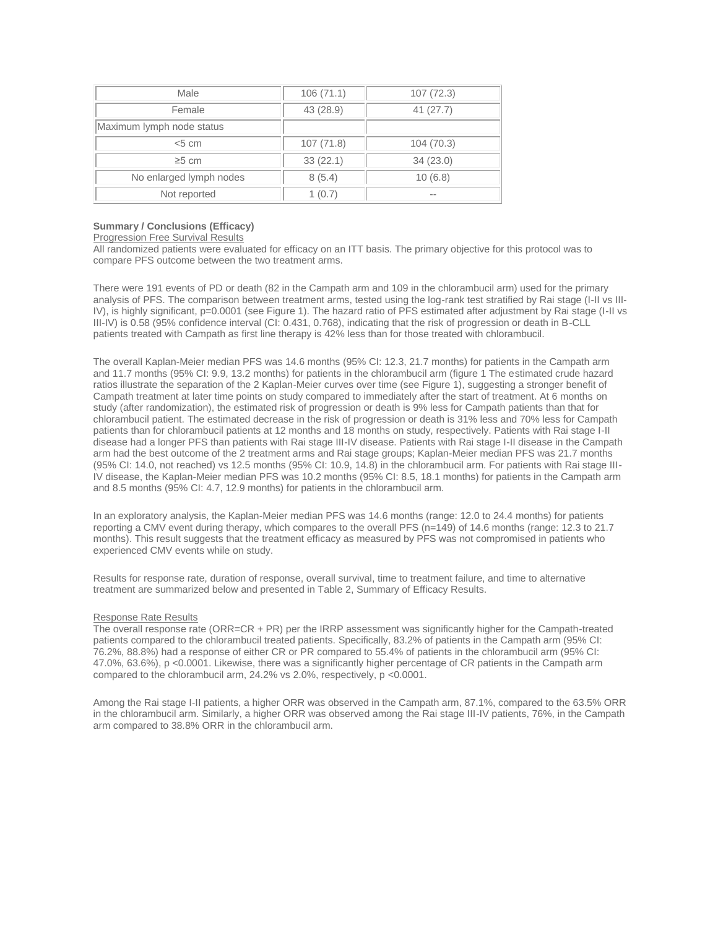| Male                      | 106(71.1) | 107(72.3) |
|---------------------------|-----------|-----------|
| Female                    | 43 (28.9) | 41(27.7)  |
| Maximum lymph node status |           |           |
| < 5 cm                    | 107(71.8) | 104(70.3) |
| $\geq 5$ cm               | 33(22.1)  | 34(23.0)  |
| No enlarged lymph nodes   | 8(5.4)    | 10(6.8)   |
| Not reported              | 1(0.7)    | $- -$     |

# **Summary / Conclusions (Efficacy)**

### Progression Free Survival Results

All randomized patients were evaluated for efficacy on an ITT basis. The primary objective for this protocol was to compare PFS outcome between the two treatment arms.

There were 191 events of PD or death (82 in the Campath arm and 109 in the chlorambucil arm) used for the primary analysis of PFS. The comparison between treatment arms, tested using the log-rank test stratified by Rai stage (I-II vs III-IV), is highly significant, p=0.0001 (see Figure 1). The hazard ratio of PFS estimated after adjustment by Rai stage (I-II vs III-IV) is 0.58 (95% confidence interval (CI: 0.431, 0.768), indicating that the risk of progression or death in B-CLL patients treated with Campath as first line therapy is 42% less than for those treated with chlorambucil.

The overall Kaplan-Meier median PFS was 14.6 months (95% CI: 12.3, 21.7 months) for patients in the Campath arm and 11.7 months (95% CI: 9.9, 13.2 months) for patients in the chlorambucil arm (figure 1 The estimated crude hazard ratios illustrate the separation of the 2 Kaplan-Meier curves over time (see Figure 1), suggesting a stronger benefit of Campath treatment at later time points on study compared to immediately after the start of treatment. At 6 months on study (after randomization), the estimated risk of progression or death is 9% less for Campath patients than that for chlorambucil patient. The estimated decrease in the risk of progression or death is 31% less and 70% less for Campath patients than for chlorambucil patients at 12 months and 18 months on study, respectively. Patients with Rai stage I-II disease had a longer PFS than patients with Rai stage III-IV disease. Patients with Rai stage I-II disease in the Campath arm had the best outcome of the 2 treatment arms and Rai stage groups; Kaplan-Meier median PFS was 21.7 months (95% CI: 14.0, not reached) vs 12.5 months (95% CI: 10.9, 14.8) in the chlorambucil arm. For patients with Rai stage III-IV disease, the Kaplan-Meier median PFS was 10.2 months (95% CI: 8.5, 18.1 months) for patients in the Campath arm and 8.5 months (95% CI: 4.7, 12.9 months) for patients in the chlorambucil arm.

In an exploratory analysis, the Kaplan-Meier median PFS was 14.6 months (range: 12.0 to 24.4 months) for patients reporting a CMV event during therapy, which compares to the overall PFS (n=149) of 14.6 months (range: 12.3 to 21.7 months). This result suggests that the treatment efficacy as measured by PFS was not compromised in patients who experienced CMV events while on study.

Results for response rate, duration of response, overall survival, time to treatment failure, and time to alternative treatment are summarized below and presented in Table 2, Summary of Efficacy Results.

### Response Rate Results

The overall response rate (ORR=CR + PR) per the IRRP assessment was significantly higher for the Campath-treated patients compared to the chlorambucil treated patients. Specifically, 83.2% of patients in the Campath arm (95% CI: 76.2%, 88.8%) had a response of either CR or PR compared to 55.4% of patients in the chlorambucil arm (95% CI: 47.0%, 63.6%), p <0.0001. Likewise, there was a significantly higher percentage of CR patients in the Campath arm compared to the chlorambucil arm, 24.2% vs 2.0%, respectively, p <0.0001.

Among the Rai stage I-II patients, a higher ORR was observed in the Campath arm, 87.1%, compared to the 63.5% ORR in the chlorambucil arm. Similarly, a higher ORR was observed among the Rai stage III-IV patients, 76%, in the Campath arm compared to 38.8% ORR in the chlorambucil arm.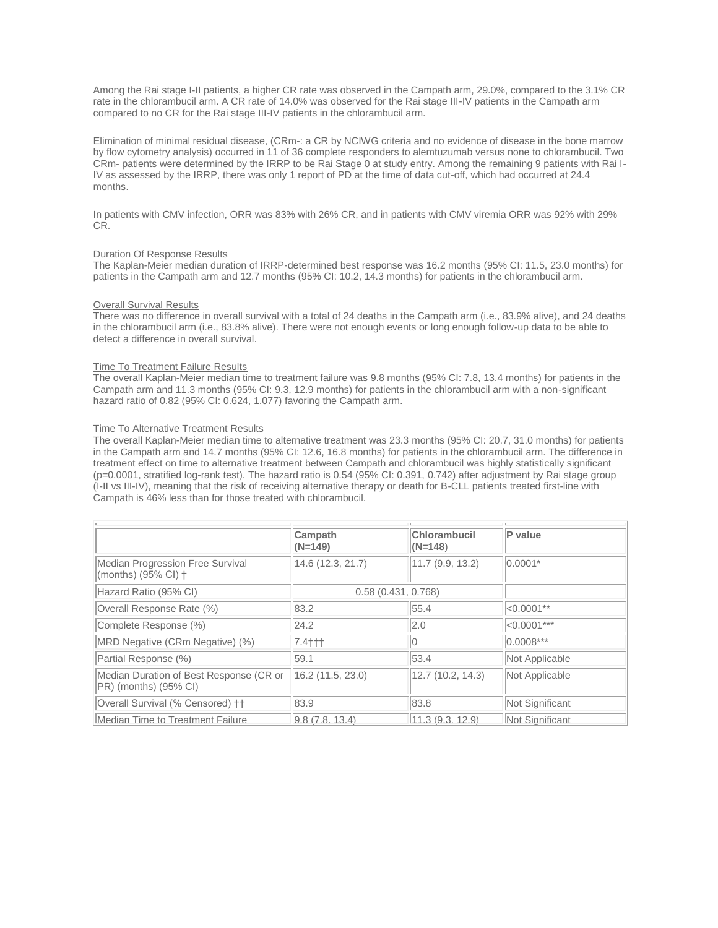Among the Rai stage I-II patients, a higher CR rate was observed in the Campath arm, 29.0%, compared to the 3.1% CR rate in the chlorambucil arm. A CR rate of 14.0% was observed for the Rai stage III-IV patients in the Campath arm compared to no CR for the Rai stage III-IV patients in the chlorambucil arm.

Elimination of minimal residual disease, (CRm-: a CR by NCIWG criteria and no evidence of disease in the bone marrow by flow cytometry analysis) occurred in 11 of 36 complete responders to alemtuzumab versus none to chlorambucil. Two CRm- patients were determined by the IRRP to be Rai Stage 0 at study entry. Among the remaining 9 patients with Rai I-IV as assessed by the IRRP, there was only 1 report of PD at the time of data cut-off, which had occurred at 24.4 months.

In patients with CMV infection, ORR was 83% with 26% CR, and in patients with CMV viremia ORR was 92% with 29% CR.

### Duration Of Response Results

The Kaplan-Meier median duration of IRRP-determined best response was 16.2 months (95% CI: 11.5, 23.0 months) for patients in the Campath arm and 12.7 months (95% CI: 10.2, 14.3 months) for patients in the chlorambucil arm.

### **Overall Survival Results**

There was no difference in overall survival with a total of 24 deaths in the Campath arm (i.e., 83.9% alive), and 24 deaths in the chlorambucil arm (i.e., 83.8% alive). There were not enough events or long enough follow-up data to be able to detect a difference in overall survival.

### Time To Treatment Failure Results

The overall Kaplan-Meier median time to treatment failure was 9.8 months (95% CI: 7.8, 13.4 months) for patients in the Campath arm and 11.3 months (95% CI: 9.3, 12.9 months) for patients in the chlorambucil arm with a non-significant hazard ratio of 0.82 (95% CI: 0.624, 1.077) favoring the Campath arm.

### Time To Alternative Treatment Results

The overall Kaplan-Meier median time to alternative treatment was 23.3 months (95% CI: 20.7, 31.0 months) for patients in the Campath arm and 14.7 months (95% CI: 12.6, 16.8 months) for patients in the chlorambucil arm. The difference in treatment effect on time to alternative treatment between Campath and chlorambucil was highly statistically significant (p=0.0001, stratified log-rank test). The hazard ratio is 0.54 (95% CI: 0.391, 0.742) after adjustment by Rai stage group (I-II vs III-IV), meaning that the risk of receiving alternative therapy or death for B-CLL patients treated first-line with Campath is 46% less than for those treated with chlorambucil.

|                                                                     | Campath<br>$(N=149)$ | Chlorambucil<br>$(N=148)$ | P value         |
|---------------------------------------------------------------------|----------------------|---------------------------|-----------------|
| Median Progression Free Survival<br>$\mid$ (months) (95% CI) †      | 14.6 (12.3, 21.7)    | 11.7(9.9, 13.2)           | $ 0.0001*$      |
| Hazard Ratio (95% CI)                                               | 0.58(0.431, 0.768)   |                           |                 |
| Overall Response Rate (%)                                           | 83.2                 | 55.4                      | $ <0.0001**$    |
| Complete Response (%)                                               | 24.2                 | 2.0                       | $ <0.0001***$   |
| MRD Negative (CRm Negative) (%)                                     | $7.4$ † † †          |                           | $0.0008***$     |
| Partial Response (%)                                                | 59.1                 | 53.4                      | Not Applicable  |
| Median Duration of Best Response (CR or<br>$ PR)$ (months) (95% CI) | $16.2$ (11.5, 23.0)  | 12.7(10.2, 14.3)          | Not Applicable  |
| Overall Survival (% Censored) ++                                    | 83.9                 | 83.8                      | Not Significant |
| Median Time to Treatment Failure                                    | 9.8(7.8.13.4)        | 11.3(9.3.12.9)            | Not Significant |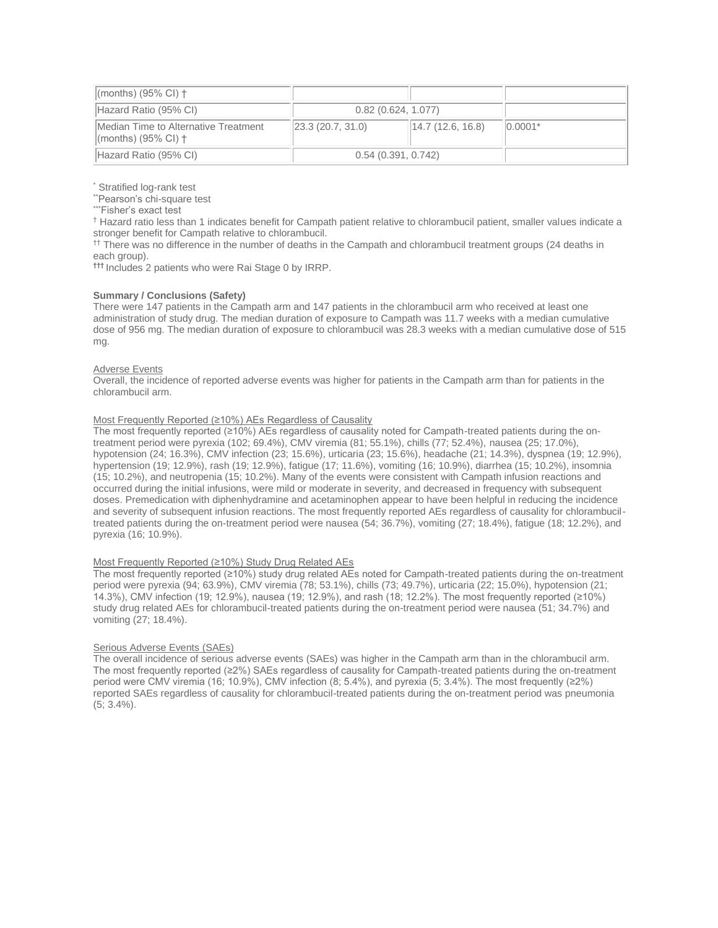| $\parallel$ (months) (95% CI) $\dagger$                                              |                    |                                       |            |
|--------------------------------------------------------------------------------------|--------------------|---------------------------------------|------------|
| Hazard Ratio (95% CI)                                                                | 0.82(0.624, 1.077) |                                       |            |
| <b>IMedian Time to Alternative Treatment</b><br>$\vert$ (months) (95% CI) $\uparrow$ | 23.3(20.7, 31.0)   | $\vert 14.7 \vert 12.6, 16.8 \rangle$ | $ 0.0001*$ |
| Hazard Ratio (95% CI)                                                                | 0.54(0.391, 0.742) |                                       |            |

Stratified log-rank test

\*\*Pearson's chi-square test

"Fisher's exact test

† Hazard ratio less than 1 indicates benefit for Campath patient relative to chlorambucil patient, smaller values indicate a stronger benefit for Campath relative to chlorambucil.

<sup>††</sup> There was no difference in the number of deaths in the Campath and chlorambucil treatment groups (24 deaths in each group).

**†††** Includes 2 patients who were Rai Stage 0 by IRRP.

### **Summary / Conclusions (Safety)**

There were 147 patients in the Campath arm and 147 patients in the chlorambucil arm who received at least one administration of study drug. The median duration of exposure to Campath was 11.7 weeks with a median cumulative dose of 956 mg. The median duration of exposure to chlorambucil was 28.3 weeks with a median cumulative dose of 515 mg.

### Adverse Events

Overall, the incidence of reported adverse events was higher for patients in the Campath arm than for patients in the chlorambucil arm.

### Most Frequently Reported (≥10%) AEs Regardless of Causality

The most frequently reported (≥10%) AEs regardless of causality noted for Campath-treated patients during the ontreatment period were pyrexia (102; 69.4%), CMV viremia (81; 55.1%), chills (77; 52.4%), nausea (25; 17.0%), hypotension (24; 16.3%), CMV infection (23; 15.6%), urticaria (23; 15.6%), headache (21; 14.3%), dyspnea (19; 12.9%), hypertension (19; 12.9%), rash (19; 12.9%), fatigue (17; 11.6%), vomiting (16; 10.9%), diarrhea (15; 10.2%), insomnia (15; 10.2%), and neutropenia (15; 10.2%). Many of the events were consistent with Campath infusion reactions and occurred during the initial infusions, were mild or moderate in severity, and decreased in frequency with subsequent doses. Premedication with diphenhydramine and acetaminophen appear to have been helpful in reducing the incidence and severity of subsequent infusion reactions. The most frequently reported AEs regardless of causality for chlorambuciltreated patients during the on-treatment period were nausea (54; 36.7%), vomiting (27; 18.4%), fatigue (18; 12.2%), and pyrexia (16; 10.9%).

### Most Frequently Reported (≥10%) Study Drug Related AEs

The most frequently reported (≥10%) study drug related AEs noted for Campath-treated patients during the on-treatment period were pyrexia (94; 63.9%), CMV viremia (78; 53.1%), chills (73; 49.7%), urticaria (22; 15.0%), hypotension (21; 14.3%), CMV infection (19; 12.9%), nausea (19; 12.9%), and rash (18; 12.2%). The most frequently reported (≥10%) study drug related AEs for chlorambucil-treated patients during the on-treatment period were nausea (51; 34.7%) and vomiting (27; 18.4%).

### Serious Adverse Events (SAEs)

The overall incidence of serious adverse events (SAEs) was higher in the Campath arm than in the chlorambucil arm. The most frequently reported (≥2%) SAEs regardless of causality for Campath-treated patients during the on-treatment period were CMV viremia (16; 10.9%), CMV infection (8; 5.4%), and pyrexia (5; 3.4%). The most frequently (≥2%) reported SAEs regardless of causality for chlorambucil-treated patients during the on-treatment period was pneumonia (5; 3.4%).